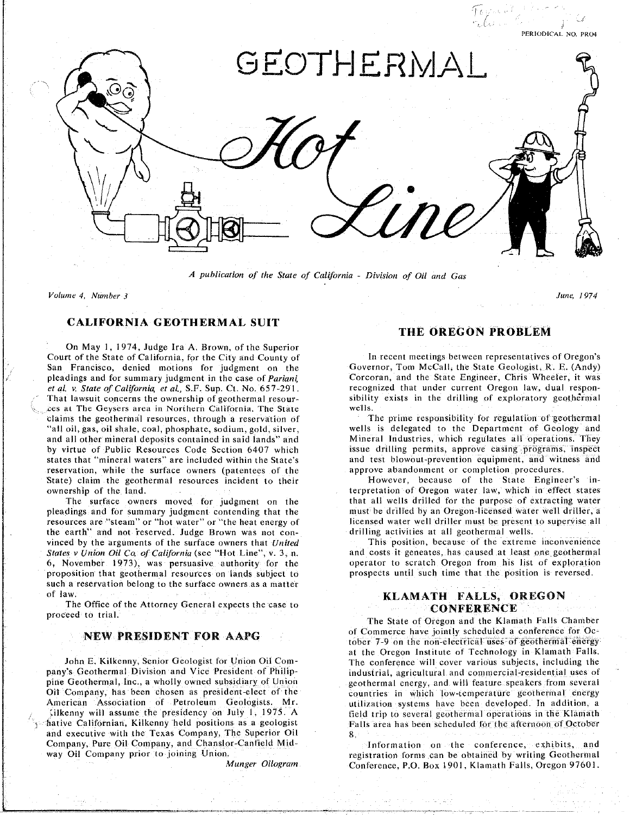

*A publication of the State of California* - *Division of Oil and Gas*

*Volume 4*. *Number 3 June*. *1974*

## **CALIFORNIA GEOTHERMAL SUIT**

On May 1. **1974. Judg**e **I**r**a A**. **Bro**wn. **of t**h**e Sup**e**rio**r Court of the State of California, for the City and County of The recent meetings between representatives of Oregon's<br>San Francisco, denied motions for judgment on the Governor, Tom McCall, the State Geologist, R. E. (Andy) pleadings and for summary judgment in the case of Pariani Corcoran, and the State Engineer, Chris Wheeler, it was et al. v. State of California, et al., S.F. Sup. Ct. No. 657-291. recognized that under current Oregon law, dual respon-That lawsuit concerns the ownership of geothermal resour-<br>sibility exists in the drilling of exploratory geothermal ces at The Geysers area in Northern California. The State wells. claims the geothermal resources, through a reservation of **The Prime responsibility** for regulation of geothermal "all oil, gas, oil shale, coal, phosphate, sodium, gold, silver, wells is delegated to the Department of Geology and and all other mineral deposits contained in said lands" and Mineral Industries, which regulates all operations. They by virtue of Public Resources Code Section 6407 which issue drilling permits, approve casing programs, inspect by virtue **o**f Public Res**o**ur*c*es C**o**de Sect**io**n 6407 wh**i**ch issue **d**ri**lli**ng perm**i**ts, appr**o**ve casing pr\_*S*grams, **i**nspect reservation, while the surface owners (patentees of the approve abandonment or completion procedures. **rationary** claim the geothermal resources incident to their **and all approximates** (*patentee botherment* in**i**m the geometric conducts in the geometric of the geometric interpretation of Oregon water law, which in effect states

pleadings and for summary judgment contending that the must be drilled by an Oregon-licensed water well driller, a resources are "steam" or "hot water" or "the heat energy of licensed water well driller must be present to supervise all the earth" and not reserved. Judge Brown was not con- drilling activities at all geothermal wells. vinced by the arguments of the surface owners that *United* This position, because of the extreme inconvenience States v Union Oil Co of California (see "Hot Line", v. 3, n. and costs it geneates, has caused at least one geothermal 6, November 1973), was persuasive authority for the operator to scratch Oregon from his list of exploration *proposition that geothermal resources on lands subject to* **spropose until such time that the position is reversed.** such a receivation belong to the surface owners as a matter s**u**ch a reservat**i**on be**lo**ng t**o** the surface **o**wners as **a** matter

proceed to trial.

pine Geothermal, Inc., a wholly owned subsidiary of Union electroral energy, and will feature speakers from several Oil Company, has been chosen as president-elect of the countries in which low-temperature geothermal energy American Association of Petroleum Geologists. Mr. utilization systems have been developed. In addition, a The Californian, Kilkenny held positions as a geologist Falls area has been scheduled for the afternoon of October **and executive with the Texas Company, The Superior Oil <b>a**  $\overline{a}$ Company, Pure Oil Company, and Chanslor-Canfield Mid-Company, Pure Oil Company, and Chanslor-Canfield Mid- Information **o**n the conference, exhib**i**ts, and

## **THE OREGON PROBLEM**

The surface owners moved for judgment on the land that all wells drilled for the purpose of extracting water

# of law.<br>The Office of the Attorney General expects the case to<br> **CONFERENCE**

The State of Oregon and the Klamath Falls Chamber of Commerce have jointly scheduled a conference for Oc-NEW PRESIDENT FOR AAPG<br>
of Commerce have jointly scheduled a conference for Oc-<br>
at the Oregon Institute of Technology in Klamath Falls. The conference will cover various subjects, including the John E. Kilkenny, Senior Geologist for Union Oil Com-<br>
The conference will cover various subjects, including the<br>
industrial, agricultural and commercial-residential uses of Alkenny will assume the presidency on July 1, 1975. A field trip to several geothermal operations in the Klamath

way **Oil Company Prior Company prior to definitely** to the company of the company of the company of the company of the company of the company of the company of the company of the company of the company of the company of th *Munger Oilogram C***o**nference. P.O. **B**ox 1901. Klamath Falls. Oregon 97601.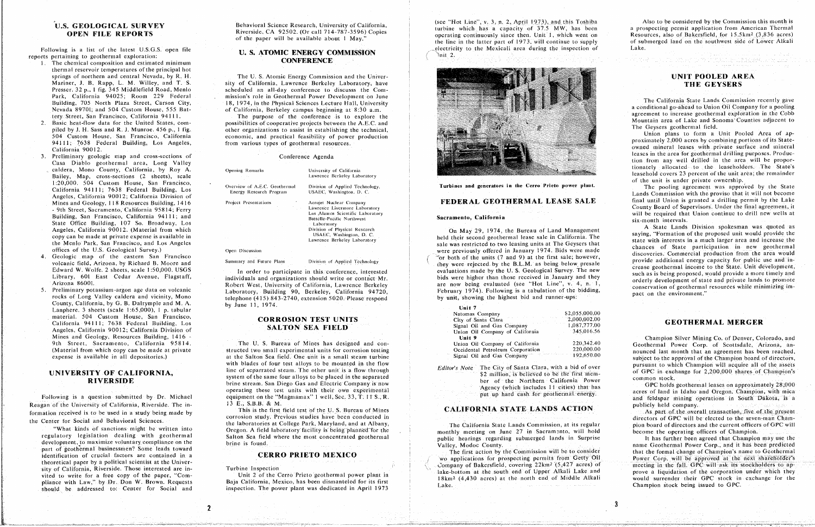## U.S. GEOLOGICAL SURVEY **OPEN FILE REPORTS**

Following is a list of the latest U.S.G.S. open file reports pertaining to geothermal exploration:

- 1. The chemical composition and estimated minimum thermal reservoir temperatures of the principal hot springs of northern and central Nevada, by R. H. Mariner, J. B. Rapp, L. M. Willey, and T. S. Presser. 32 p., 1 fig. 345 Middlefield Road, Menlo Park, California 94025; Room 229 Federal Building, 705 North Plaza Street, Carson City, Nevada 89701; and 504 Custom House, 555 Battery Street, San Francisco, California 94111.
- Basic heat-flow data for the United States, compiled by J. H. Sass and R. J. Munroe. 456 p., 1 fig. 504 Custom House, San Francisco, California 94111; 7638 Federal Building, Los Angeles, California 90012.
- 3. Preliminary geologic map and cross-sections of Casa Diablo geothermal area, Long Valley caldera, Mono County, California, by Roy A. Bailey, Map, cross-sections (2 sheets), scale 1:20,000. 504 Custom House, San Francisco, California 94111; 7638 Federal Building, Los Angeles, California 90012; California Division of Mines and Geology, 118 Resources Building, 1416 - 9th Street, Sacramento, California 95814; Ferry Building, San Francisco, California 94111; and State Office Building, 107 So. Broadway, Los Angeles, California 90012. (Material from which copy can be made at private expense is available in the Menlo Park, San Francisco, and Los Angeles offices of the U.S. Geological Survey.)
- 4. Geologic map of the eastern San Francisco volcanic field, Arizona, by Richard B. Moore and Edward W. Wolfe. 2 sheets, scale 1:50,000. USGS Library, 601 East Cedar Avenue, Flagstaff, Arizona 86001.
- $5.$ Preliminary potassium-argon age data on volcanic rocks of Long Valley caldera and vicinity, Mono County, California, by G. B. Dalrymple and M. A. Lanphere. 3 sheets (scale 1:65,000), 1 p. tabular material. 504 Custom House, San Francisco, California 94111; 7638 Federal Building, Los Angeles, California 90012; California Division of Mines and Geology, Resources Building, 1416 -9th Street, Sacramento, California 95814. (Material from which copy can be made at private expense is available in all depositories.)

## UNIVERSITY OF CALIFORNIA, **RIVERSIDE**

Following is a question submitted by Dr. Michael Reagan of the University of California, Riverside. The information received is to be used in a study being made by the Center for Social and Behavioral Sciences.

"What kinds of sanctions might be written into regulatory legislation dealing with geothermal development, to maximize voluntary compliance on the part of geothermal businessmen? Some leads toward identification of crucial factors are contained in a theoretical paper by a political scientist at the University of California, Riverside. Those interested are invited to write for a free copy of the paper, "Compliance with Law," by Dr. Don W. Brown. Requests should be addressed to: Center for Social and

Behavioral Science Research, University of California, Riverside, CA 92502. (Or call 714-787-3596) Copies of the paper will be available about 1 May."

## **U. S. ATOMIC ENERGY COMMISSION CONFERENCE**

The U.S. Atomic Energy Commission and the University of California, Lawrence Berkeley Laboratory, have scheduled an all-day conference to discusss the Commission's role in Geothermal Power Development on June 18, 1974, in the Physical Sciences Lecture Hall, University of California, Berkeley campus beginning at 8:30 a.m.

The purpose of the conference is to explore the possibilities of cooperative projects between the A.E.C. and other organizations to assist in establishing the technical, economic, and practical feasibility of power production from various types of geothermal resources.

#### Conference Agenda

| Opening Remarks               |  |  |  |  |
|-------------------------------|--|--|--|--|
| the control of the            |  |  |  |  |
| Overview of A.E.C. Geothermal |  |  |  |  |

University of California Lawrence Berkeley Laboratory

Division of Applied Technology,

Energy Research Program

Project Presentations

Open Discussion

Summary and Future Plans

USAEC, Washington, D. C.

Acrojet Nuclear Company. Lawrence Livermore Laboratory Los Alamos Scientific Laboratory Battelle-Pacific Northwest Laboratory Division of Physical Research USAEC, Washington, D. C. Lawrence Berkeley Laboratory

Division of Applied Technology

In order to participate in this conference, interested individuals and organizations should write or contact Mr. Robert West, University of California, Lawrence Berkeley Laboratory, Building 90, Berkeley, California 94720, telephone  $(415)$  843-2740, extension 5020. Please respond by June 11, 1974.

## **CORROSION TEST UNITS SALTON SEA FIELD**

The U. S. Bureau of Mines has designed and constructed two small experimental units for corrosion testing at the Salton Sea field. One unit is a small steam turbine with blades of four test alloys to be mounted in the flow line of separrated steam. The other unit is a flow through system of the same four alloys to be placed in the separated brine stream. San Diego Gas and Electric Company is now operating these test units with their own experimental equipment on the "Magmamax" 1 well, Sec. 33, T. 11 S., R. 13 E., S.B.B. & M.

This is the first field test of the U.S. Bureau of Mines corrosion study. Previous studies have been conducted in the laboratories at College Park, Maryland, and at Albany, Oregon. A field laboratory facility is being planned for the Salton Sea field where the most concentrated geothermal brine is found.

#### **CERRO PRIETO MEXICO**

Turbine Inspection

 $\mathbf{2}$ 

Unit 2 of the Cerro Prieto geothermal power plant in Baja California, Mexico, has been dismanteled for its first inspection. The power plant was dedicated in April 1973 (see "Hot Line", v. 3, n. 2, April 1973), and this Toshiba turbine which has a capacity of 37.5 MW, has been operating continuously since then. Unit 1, which went on the line in the latter part of 1973, will continue to supply electricity to the Mexicali area during the inspection of  $\ln it$  2.



Turbines and generators in the Cerro Prieto power plant.

## FEDERAL GEOTHERMAL LEASE SALE

### Sacramento, California

On May 29, 1974, the Bureau of Land Management held their second geothermal lease sale in California. The sale was restricted to two leasing units at The Geysers that were previously offered in January 1974. Bids were made  $\sim$  or both of the units (7 and 9) at the first sale; however, they were rejected by the B.L.M. as being below presale evaluations made by the U.S. Geological Survey. The new bids were higher than those received in January and they are now being evaluated (see "Hot Line", v. 4, n. 1, February 1974). Following is a tabulation of the bidding, by unit, showing the highest bid and runner-ups:

### Unit 7

| Natomas Company                  | \$2,055,000.0 |
|----------------------------------|---------------|
| City of Santa Clara              | 2,000,002.0   |
| Signal Oil and Gas Company       | 1,087,777.0   |
| Union Oil Company of California  | 345,016.5     |
| Unit 9                           |               |
| Union Oil Company of California  | 220,342.4     |
| Occidental Petroleum Corporation | 220,000.0     |
| Signal Oil and Gas Company       | 192,650.0     |
|                                  |               |

Editor's Note The City of Santa Clara, with a bid of over \$2 million, is believed to be the first member of the Northern California Power Agency (which includes 11 cities) that has put up hard cash for geothermal energy.

## **CALIFORNIA STATE LANDS ACTION**

The California State Lands Commission, at its regular monthly meeting on June 27 in Sacramento, will hold public hearings regarding submerged lands in Surprise Valley, Modoc County.

The first action by the Commission will be to consider wo applications for prospecting permits from Getty Oil Company of Bakersfield, covering 22km<sup>2</sup> (5,427 acres) of lake-bottom at the south end of Upper Alkali Lake and 18km<sup>2</sup> (4,430 acres) at the north end of Middle Alkali Lake.

Also to be considered by the Commission this month is a prospecting permit application from American Thermal Resources, also of Bakersfield, for 15.5km<sup>2</sup> (3,836 acres) of submerged land on the southwest side of Lower Alkali  $1.8<sub>ke</sub>$ 

## UNIT POOLED AREA THE GEYSERS

The California State Lands Commission recently gave a conditional go-ahead to Union Oil Company for a pooling agreement to increase geothermal exploration in the Cobb Mountain area of Lake and Sonoma Counties adjacent to The Geysers geothermal field.

Union plans to form a Unit Pooled Area of approximately 2,000 acres by combining portions of its Stateowned mineral leases with private surface and mineral leases in the area for geothermal drilling purposes. Production from any well drilled in the area will be proportionately allocated to the leaseholders. The State's leasehold covers 23 percent of the unit area; the remainder of the unit is under private ownership.

The pooling agreement was approved by the State Lands Commission with the proviso that it will not become final until Union is granted a drilling permit by the Lake County Board of Supervisors. Under the final agreement, it will be required that Union continue to drill new wells at six-month intervals.

A State Lands Division spokesman was quoted as saying, "Formation of the proposed unit would provide the state with interests in a much larger area and increase the chances of State participation in new geothermal discoveries. Commercial production from the area would provide additional energy capacity for public use and increase geothermal income to the State. Unit development, such as is being proposed, would provide a more timely and orderly development of state and private lands to promote conservation of geothermal resources while minimizing impact on the environment."

### **GEOTHERMAL MERGER**

Champion Silver Mining Co. of Denver, Colorado, and Geothermal Power Corp. of Scottsdale, Arizona, announced last month that an agreement has been reached, subject to the approval of the Champion board of directors, pursuant to which Champion will acquire all of the assets of GPC in exchange for 2,200,000 shares of Champion's common stock.

GPC holds geothermal leases on approximately 28,000 acres of land in Idaho and Oregon. Champion, with micaand feldspar mining operations in South Dakota, is a publicly held company.

As part of the overall transaction, five of the present directors of GPC will be elected to the seven-man Champion board of directors and the current officers of GPC will become the operating officers of Champion.

It has further been agreed that Champion may use the name Geothermal Power Corp., and it has been predicted that the formal change of Champion's name to Geothermal Power Corp. will be approved at the next shareholder's meeting in the fall. GPC will ask its stockholders to approve a liquidation of the corporation under which they would surrender their GPC stock in exchange for the Champion stock being issued to GPC.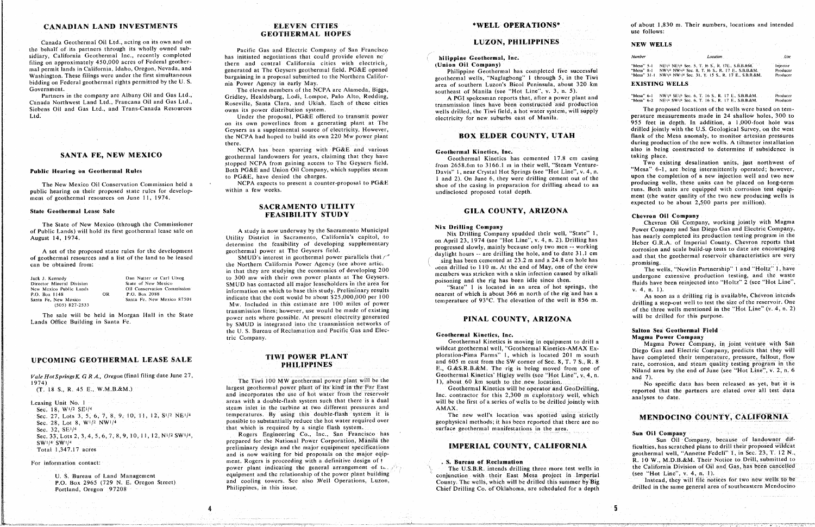## **CANADIAN LAND INVESTMENTS**

Canada Geothermal Oil Ltd., acting on its own and on the behalf of its partners through its wholly owned subsidiary, California Geothermal Inc., recently completed filing on approximately 450,000 acres of Federal geothermal permit lands in California, Idaho, Oregon, Nevada, and Washington. These filings were under the first simultaneous bidding on Federal geothermal rights permitted by the U.S. Government.

Partners in the company are Albany Oil and Gas Ltd., Canada Northwest Land Ltd., Francana Oil and Gas Ltd., Siebens Oil and Gas Ltd., and Trans-Canada Resources Ltd.

### SANTA FE, NEW MEXICO

#### **Public Hearing on Geothermal Rules**

The New Mexico Oil Conservation Commission held a public hearing on their proposed state rules for development of geothermal resources on June 11, 1974.

#### **State Geothermal Lease Sale**

The State of New Mexico (through the Commissioner of Public Lands) will hold its first geothermal lease sale on August 14, 1974.

A set of the proposed state rules for the development of geothermal resources and a list of the land to be leased can be obtained from:

| Jack J. Kennedy<br><b>Contract</b> |  |
|------------------------------------|--|
| Director Mineral Division          |  |
| New Mexico Public Lands            |  |
| P.O. Box 1148                      |  |
| Santa Fe. New Mexico               |  |
| $(505)$ 827-2533                   |  |

Dan Nutter or Carl Ulvog State of New Mexico Oil Conservation Commission P.O. Box 2088 Santa Fe, New Mexico 87501

4

The sale will be held in Morgan Hall in the State Lands Office Building in Santa Fe.

 $OR$ 

#### **UPCOMING GEOTHERMAL LEASE SALE**

Vale Hot Springs K. G.R.A., Oregon (final filing date June 27,  $1974$ ).

 $(T. 18 S., R. 45 E., W.M.B. & M.)$ 

Leasing Unit No. 1 Sec. 18, W1/2 SE1/4 Sec. 27, Lots 3, 5, 6, 7, 8, 9, 10, 11, 12, S<sup>1</sup>/2 NE<sup>1</sup>/<sup>4</sup> Sec. 28, Lot 8, W<sup>1</sup>/2 NW<sup>1</sup>/<sup>4</sup> Sec. 32, SE<sup>1/4</sup> Sec. 33, Lots 2, 3, 4, 5, 6, 7, 8, 9, 10, 11, 12, N<sup>1</sup>/2 SW<sup>1</sup>/<sup>4</sup>, SW1/4 SW1/4

Total 1,347.17 acres

#### For information contact:

U. S. Bureau of Land Management P.O. Box 2965 (729 N. E. Oregon Street). Portland, Oregon 97208

## **ELEVEN CITIES GEOTHERMAL HOPES**

Pacific Gas and Electric Company of San Francisco has initiated negotiations that could provide eleven no thern and central California cities with electricit, generated at The Geysers geothermal field. PG&E opened bargaining in a proposal submitted to the Northern California Power Agency in early May.

The eleven members of the NCPA are Alameda, Biggs, Gridlev, Healdsburg, Lodi, Lompoc, Palo Alto, Redding, Roseville, Santa Clara, and Ukiah. Each of these cities owns its power distribution system.

Under the proposal, PG&E offered to transmit power on its own powerlines from a generating plant at The Geysers as a supplemental source of electricity. However, the NCPA had hoped to build its own 220 Mw power plant there.

NCPA has been sparring with PG&E and various geothermal landowners for years, claiming that they have stopped NCPA from gaining access to The Geysers field. Both PG&E and Union Oil Company, which supplies steam to PG&E, have denied the charges.

NCPA expects to present a counter-proposal to PG&E within a few weeks.

## SACRAMENTO UTILITY FEASIBILITY STUDY

A study is now underway by the Sacramento Municipal Utility District in Sacramento, California's capitol, to determine the feasibility of developing supplementary geothermal power at The Geysers field.

SMUD's interest in geothermal power parallels that  $\tau^*$ the Northern California Power Agency (see above artic. in that they are studying the economics of developing 200 to 300 mw with their own power plants at The Geysers. SMUD has contacted all major leaseholders in the area for information on which to base this study. Preliminary results indicate that the cost would be about \$25,000,000 per 100 Mw. Included in this estimate are 100 miles of power transmission lines; however, use would be made of existing power nets where possible. At present electroity generated by SMUD is integrated into the transmission networks of the U.S. Bureau of Reclamation and Pacific Gas and Electric Company.

## TIWI POWER PLANT **PHILIPPINES**

The Tiwi 100 MW geothermal power plant will be the largest geothermal power plant of its kind in the Far East and incorporates the use of hot water from the reservoir areas with a double-flash system such that there is a dual steam inlet in the turbine at two different pressures and temperatures. By using this double-flash system it is possible to substantially reduce the hot water required over that which is required by a single flash system.

Rogers Engineering Co., Inc., San Francisco has prepared for the National Power Corporation, Manila the preliminary design and the major equipment specifications and is now waiting for bid proposals on the major eqipment. Rogers is proceeding with a definitive design of t power plant indicating the general arrangement of the side equipment and the relationship of the power plant building and cooling towers. See also Well Operations, Luzon, Philippines, in this issue.

### \*WELL OPERATIONS\*

### **LUZON, PHILIPPINES**

### hilippine Geothermal, Inc. (Union Oil Company)

Philippine Geothermal has completed five successful geothermal wells, "Naglagbong" 1 through 5, in the Tiwi area of southern Luzon's Bicol Peninsula, about 320 km southeast of Manila (see "Hot Line", v. 3, n. 5).

A PGI spokesman reports that, after a power plant and transmission lines have been constructed and production wells drilled, the Tiwi field, a hot water system, will supply electricity for new suburbs east of Manila.

## **BOX ELDER COUNTY, UTAH**

#### Geothermal Kinetics, Inc.

Geothermal Kinetics has cemented 17.8 cm casing from 2658.6m to 3166.1 m in their well, "Steam Venture-Davis" 1, near Crystal Hot Springs (see "Hot Line", v. 4, n. 1 and 2). On June 6, they were drilling cement out of the shoe of the casing in preparation for drilling ahead to an undisclosed proposed total depth.

## GILA COUNTY, ARIZONA

#### **Nix Drilling Company**

Nix Drilling Company spudded their well, "State" 1, on April 23, 1974 (see "Hot Line", v. 4, n. 2). Drilling has progressed slowly, mainly because only two men -- working daylight hours -- are drilling the hole, and to date 31.1 cm sing has been cemented at 23.2 m and a 24.8 cm hole has been drilled to 110 m. At the end of May, one of the crew members was stricken with a skin infection caused by alkali poisoning and the rig has been idle since then.

"State" 1 is located in an area of hot springs, the nearest of which is about 366 m north of the rig and has a temperature of 93°C. The elevation of the well is 856 m.

### PINAL COUNTY, ARIZONA

#### Geothermal Kinetics, Inc.

Geothermal Kinetics is moving in equipment to drill a wildcat geothermal well, "Geothermal Kinetics-AMAX Exploration-Pima Farms" 1, which is located 201 m south and 605 m east from the SW corner of Sec. 8, T. 7 S., R. 8 E., G.&S.R.B.&M. The rig is being moved from one of Geothermal Kinetics' Higley wells (see "Hot Line", v. 4, n. 1), about 60 km south to the new location.

Geothermal Kinetics will be operator and GeoDrilling, Inc. contractor for this 2,300 m exploratory well, which will be the first of a series of wells to be drilled jointly with AMAX.

The new well's location was spotted using strictly geophysical methods; it has been reported that there are no surface geothermal manifestations in the area.

### **IMPERIAL COUNTY, CALIFORNIA**

#### . S. Bureau of Reclamation

The U.S.B.R. intends drilling three more test wells in conjunction with their East Mesa project in Imperial County. The wells, which will be drilled this summer by Big Chief Drilling Co. of Oklahoma, are scheduled for a depth of about 1,830 m. Their numbers, locations and intended use follows:

#### **NEW WELLS**

Number

#### Location

"Mesa" 5-1 NE<sup>1</sup>/<sup>4</sup> NE<sup>1</sup>/<sup>4</sup> Sec. 5, T. 16 S., R. 17E., S.B.B.&M." "Mesa" 8-1 NW1/4 NW1/4 Sec. 8, T. 16 S.; R. 17 E., S.B.B.&M.<br>"Mesa" 8-1 NW1/4 NW1/4 Sec. 8, T. 16 S.; R. 17 E., S.B.B.&M.

### **EXISTING WELLS**

"Mesa" 6-1 NW!/4 SE!/4 Sec. 6, T. 16 S., R. 17 E., S.B.B.&M.<br>"Mesa" 6-2 NE!/4 SW!/4 Sec. 6, T. 16 S., R. 17 E., S.B.B.&M.

The proposed locations of the wells were based on temperature measurements made in 24 shallow holes, 300 to 955 feet in depth. In addition, a 1,000-foot hole was drilled jointly with the U.S. Geological Survey, on the west flank of the Mesa anomaly, to monitor artesian pressures during production of the new wells. A tiltmeter installation also is being constructed to determine if subsidence is taking place.

Two existing desalination units, just northwest of "Mesa" 6-1, are being intermittently operated; however, upon the completion of a new injection well and two new producing wells, these units can be placed on long-term runs. Both units are equipped with corrosion test equipment (the water quality of the two new producing wells is expected to be about 2,500 parts per million).

#### **Chevron Oil Company**

Chevron Oil Company, working jointly with Magma Power Company and San Diego Gas and Electric Company. has nearly completed its production testing program in the Heber G.R.A. of Imperial County. Chevron reports that corrosion and scale build-up tests to date are encouraging and that the geothermal reservoir characteristics are very promising.

The wells, "Nowlin Partnership" 1 and "Holtz" 1, have undergone extensive production testing, and the waste fluids have been reinjected into "Holtz" 2 (see "Hot Line",  $v. 4, n. 1$ .

As soon as a drilling rig is available, Chevron intends drilling a step-out well to test the size of the reservoir. One of the three wells mentioned in the "Hot Line" (v. 4, n. 2). will be drilled for this purpose.

### Salton Sea Geothermal Field **Magma Power Company**

Magma Power Company, in joint venture with San Diego Gas and Electric Company, predicts that they will have completed their temperature, pressure, fallout, flow rate, corrosion, and steam quality testing program in the Niland area by the end of June (see "Hot Line", v. 2, n. 6 and  $7$ ).

No specific data has been released as yet, but it is reported that the partners are elated over all test data analyses to date.

## MENDOCINO COUNTY, CALIFORNIA

ar lees al

#### Sun Oil Company

Sun Oil Company, because of landowner difficulties, has scratched plans to drill their proposed wildcat geothermal well, "Annette Fedeli" 1, in Sec. 23, T. 12 N., R. 10 W., M.D.B.&M. Their Notice to Drill, submitted to the California Division of Oil and Gas, has been cancelled (see "Hot Line",  $v. 4, n. 1$ ).

Instead, they will file notices for two new wells to be drilled in the same general area of southeastern Mendocino

 $. Use$ 

Injector Producer Produce

Producer Producer

5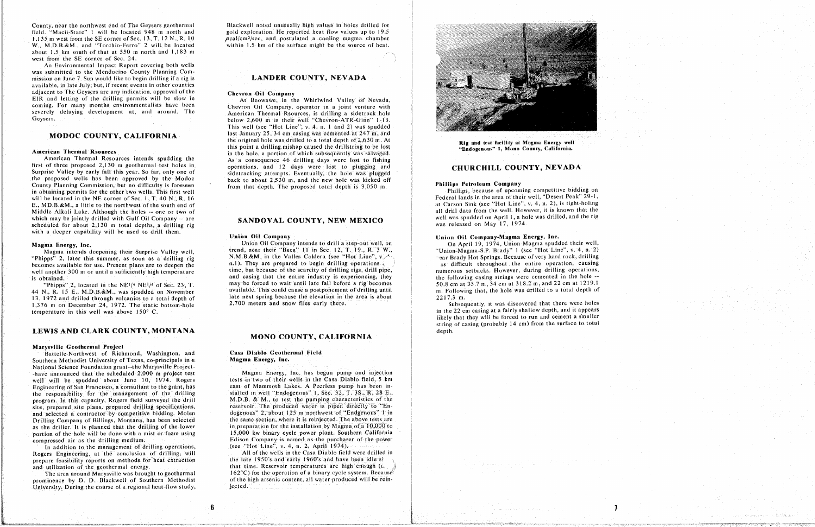1,135 m west from the SE corner of Sec. 13, T. 12 N., R. 10  $\mu$ cal/cm<sup>2</sup>/sec. and postulated a cooling magma chamber w., M.D.B.&M., and "Torchio-Ferro" 2 will be located within 1.5 km of the surface might be the source of heat. about 1.5 km south of that at 550 m north and 1,183 m west from the SE corner of Sec. 24.

An Environmental Impact Report covering both wells was submitted to the Mendocino County Planning Commission on June 7. Sun would like to begin drilling if a rig is  $a$  vailable, in late July; but, if recent events in other counties adjacent to The Geysers are any indication, approval of the adjacent t**o T**he Geysers are any indication, approval of the **Ch**evr**on Oil Comp**a**ny** coming. For many months environmentalists have been **Example 19 Chevron** Oil Company, operator in a joint venture with severely delaying development at, and around, The **American Thermal Rsources**, is drilling a sidetrack hole

#### **American Thermal Rsources**

first of three proposed 2,130 m geothermal test holes in operations, and 12 days were lost to plugging and not the proposed 2,130 m geothermal test holes in the operations, and 12 days were lost to plugging and **CHURCHILL COUNTY, NEVADA** the proposed wells has been approved by the Modoc back to about 2,530 m, and the new hole was kicked off County Planning Commission, but no difficulty is foreseen from that depth. The proposed total depth is 3,050 m. in obtaining permits for the other two wells. This first well home that depth. The proposed total depth is 5,000 in. Phillips, because of upcoming competitive bidding on scheduled for about 2,130 m total depths, a drilling rig **SANDOVAL COUNTY, NEW MEAICO** was released on May 17, 1974. with a deeper capability will be used to drill them **wi**t**h a deeper capability will be u**s**ed** t**o d**r**ill them.**

becomes available for use. Present plans are to deepen the  $n.1$ ). They are prepared to begin drilling operations

#### **MONO COUNTY, CALIFORNIA M**O**NO CO**U**N**T**Y, CA**LI**FORNIA**

**Marysville Geo**t**hermal Project Bathern Methodist University of Texas, co-principals in a <b>Casa Diagma Energy, Inc.** National Science Foundation grant--the Marysville Project--have announced that the scheduled 2,000 m project test -have announced that the scheduled 2,000 m project test<br>well will be spudded about June 10, 1974. Rogers tests in two of their wells in the Casa Diablo field, 5 km Engineering of San Francisco, a consultant to the grant, has east of Mammoth Lakes. A Peerless pump has been inthe responsibility for the management of the drilling stalled in well "Endogenous" 1, Sec. 32, T. 3S., R. 28 E., program. In this capacity, Rogers field surveyed the drill M.D.B. & M., to test the pumping characteristics of the site, prepared site plans, prepared drilling specifications, reservoir. The produced water is piped directly to "Enand selected a contractor by competitive bidding. Molen dogenous" 2, about 125 m northwest of "Endgenous" 1 in Drilling Company of Billings, Montana, has been selected the same section, where it is reinjected. The above tests are as the driller. It is planned that the drilling of the lower in preparation for the installation by Magma of a 10,000 to portion of the hole will be done with a mist or foam using **15,000** kw binary cycle power plant. Southern California portion of the hole will be done with a mist of the hole with a mist of the hole with a mist of the power plant. Southern *California* Company is named as the purchaser of the power

## Casa Diablo Geothermal Field

In addition to the management of drilling operations, (see "Hot Line", v.  $4 - n$ , 2, April 1974). Rogers Engineering, at the conclusion of drilling, will **All of the wells** in the Casa Diablo field were drilled in prepare feasibility reports on methods for heat extraction the late 1950's and early 1960's and have been idle si and utilization of the geothermal energy. The later of the later in the Reservoir temperatures are high enough ( $\lambda$ 

The area around Marysville was brought to geothermal **EXEC** for the operation of a binary cycle system. Because



prominence by **D**. **Blackwell** of Southern Methodist of the high arsenic content, all water produced will be rein**promission** During the course of a regional heat-flow study, and included with a little will be recognized with a little will be recognized with a little will be recognized with a little will be recognized with a little w University*, D*uring the course of a reg**i**onal heat-flow study, jected.

County, near the northwest end of The Geysers ge**o**thermal Blackwell note**d** unusualt} high values in holes drilled for Blackwell noted unusually high values in holes drilled for

### **LANDER COUNTY, NEVADA**

Severs. Severely delay 2,600 m in their well "Chevron-ATR-Ginn" 1-13. This well (see "Hot Line", v. 4, n. 1 and 2) was spudded last January 25, 34 cm casing was cemented at  $247 \text{ m}$ , and **MODOC COUNTY, CALIFORNIA** last January 25, 34 cm casing was cemented at 247 m, and the original hole was drilled to a total depth of 2,630 m. At the original hole was drilled to a total depth of 2,050 m. At The Rig and test facility at Magma Energy well<br>this point a drilling mishap caused the drillstring to be lost "Endogenous" 1, Mono County, California. in the hole, a portion of which subsequently was salvaged. **American** Thermal Resources intends spudding the **a As** a consequence 46 drilling days were lost to fishing

#### Union Oil Company

13, 1972 and drilled through volcanics to a total depth of late next spring because the elevation in the area is about 2217.3 m.